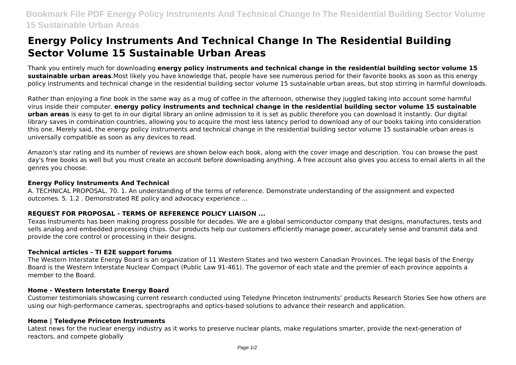# **Energy Policy Instruments And Technical Change In The Residential Building Sector Volume 15 Sustainable Urban Areas**

Thank you entirely much for downloading **energy policy instruments and technical change in the residential building sector volume 15 sustainable urban areas**.Most likely you have knowledge that, people have see numerous period for their favorite books as soon as this energy policy instruments and technical change in the residential building sector volume 15 sustainable urban areas, but stop stirring in harmful downloads.

Rather than enjoying a fine book in the same way as a mug of coffee in the afternoon, otherwise they juggled taking into account some harmful virus inside their computer. **energy policy instruments and technical change in the residential building sector volume 15 sustainable urban areas** is easy to get to in our digital library an online admission to it is set as public therefore you can download it instantly. Our digital library saves in combination countries, allowing you to acquire the most less latency period to download any of our books taking into consideration this one. Merely said, the energy policy instruments and technical change in the residential building sector volume 15 sustainable urban areas is universally compatible as soon as any devices to read.

Amazon's star rating and its number of reviews are shown below each book, along with the cover image and description. You can browse the past day's free books as well but you must create an account before downloading anything. A free account also gives you access to email alerts in all the genres you choose.

#### **Energy Policy Instruments And Technical**

A. TECHNICAL PROPOSAL. 70. 1. An understanding of the terms of reference. Demonstrate understanding of the assignment and expected outcomes. 5. 1.2 . Demonstrated RE policy and advocacy experience ...

## **REQUEST FOR PROPOSAL - TERMS OF REFERENCE POLICY LIAISON ...**

Texas Instruments has been making progress possible for decades. We are a global semiconductor company that designs, manufactures, tests and sells analog and embedded processing chips. Our products help our customers efficiently manage power, accurately sense and transmit data and provide the core control or processing in their designs.

# **Technical articles - TI E2E support forums**

The Western Interstate Energy Board is an organization of 11 Western States and two western Canadian Provinces. The legal basis of the Energy Board is the Western Interstate Nuclear Compact (Public Law 91-461). The governor of each state and the premier of each province appoints a member to the Board.

#### **Home - Western Interstate Energy Board**

Customer testimonials showcasing current research conducted using Teledyne Princeton Instruments' products Research Stories See how others are using our high-performance cameras, spectrographs and optics-based solutions to advance their research and application.

#### **Home | Teledyne Princeton Instruments**

Latest news for the nuclear energy industry as it works to preserve nuclear plants, make regulations smarter, provide the next-generation of reactors, and compete globally